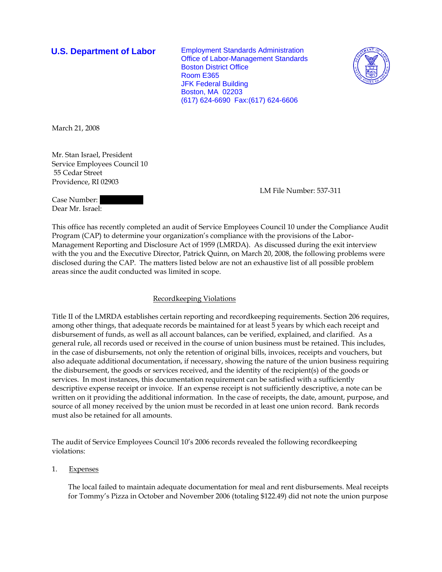**U.S. Department of Labor** Employment Standards Administration Office of Labor-Management Standards Boston District Office Room E365 JFK Federal Building Boston, MA 02203 (617) 624-6690 Fax:(617) 624-6606



March 21, 2008

Mr. Stan Israel, President Service Employees Council 10 55 Cedar Street Providence, RI 02903

LM File Number: 537-311

Case Number: Dear Mr. Israel:

This office has recently completed an audit of Service Employees Council 10 under the Compliance Audit Program (CAP) to determine your organization's compliance with the provisions of the Labor-Management Reporting and Disclosure Act of 1959 (LMRDA). As discussed during the exit interview with the you and the Executive Director, Patrick Quinn, on March 20, 2008, the following problems were disclosed during the CAP. The matters listed below are not an exhaustive list of all possible problem areas since the audit conducted was limited in scope.

## Recordkeeping Violations

Title II of the LMRDA establishes certain reporting and recordkeeping requirements. Section 206 requires, among other things, that adequate records be maintained for at least 5 years by which each receipt and disbursement of funds, as well as all account balances, can be verified, explained, and clarified. As a general rule, all records used or received in the course of union business must be retained. This includes, in the case of disbursements, not only the retention of original bills, invoices, receipts and vouchers, but also adequate additional documentation, if necessary, showing the nature of the union business requiring the disbursement, the goods or services received, and the identity of the recipient(s) of the goods or services. In most instances, this documentation requirement can be satisfied with a sufficiently descriptive expense receipt or invoice. If an expense receipt is not sufficiently descriptive, a note can be written on it providing the additional information. In the case of receipts, the date, amount, purpose, and source of all money received by the union must be recorded in at least one union record. Bank records must also be retained for all amounts.

The audit of Service Employees Council 10's 2006 records revealed the following recordkeeping violations:

1. Expenses

The local failed to maintain adequate documentation for meal and rent disbursements. Meal receipts for Tommy's Pizza in October and November 2006 (totaling \$122.49) did not note the union purpose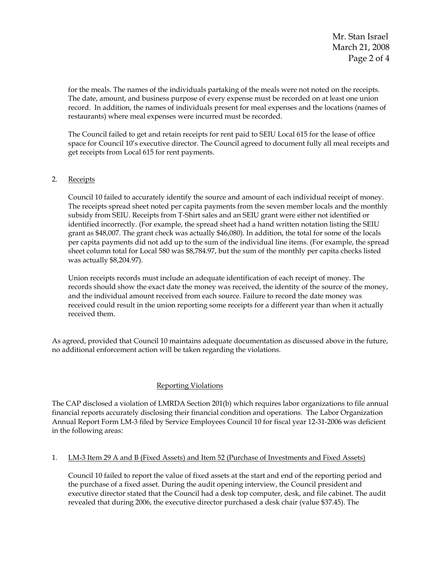Mr. Stan Israel March 21, 2008 Page 2 of 4

for the meals. The names of the individuals partaking of the meals were not noted on the receipts. The date, amount, and business purpose of every expense must be recorded on at least one union record. In addition, the names of individuals present for meal expenses and the locations (names of restaurants) where meal expenses were incurred must be recorded.

The Council failed to get and retain receipts for rent paid to SEIU Local 615 for the lease of office space for Council 10's executive director. The Council agreed to document fully all meal receipts and get receipts from Local 615 for rent payments.

## 2. Receipts

Council 10 failed to accurately identify the source and amount of each individual receipt of money. The receipts spread sheet noted per capita payments from the seven member locals and the monthly subsidy from SEIU. Receipts from T-Shirt sales and an SEIU grant were either not identified or identified incorrectly. (For example, the spread sheet had a hand written notation listing the SEIU grant as \$48,007. The grant check was actually \$46,080). In addition, the total for some of the locals per capita payments did not add up to the sum of the individual line items. (For example, the spread sheet column total for Local 580 was \$8,784.97, but the sum of the monthly per capita checks listed was actually \$8,204.97).

Union receipts records must include an adequate identification of each receipt of money. The records should show the exact date the money was received, the identity of the source of the money, and the individual amount received from each source. Failure to record the date money was received could result in the union reporting some receipts for a different year than when it actually received them.

As agreed, provided that Council 10 maintains adequate documentation as discussed above in the future, no additional enforcement action will be taken regarding the violations.

# Reporting Violations

The CAP disclosed a violation of LMRDA Section 201(b) which requires labor organizations to file annual financial reports accurately disclosing their financial condition and operations. The Labor Organization Annual Report Form LM-3 filed by Service Employees Council 10 for fiscal year 12-31-2006 was deficient in the following areas:

### 1. LM-3 Item 29 A and B (Fixed Assets) and Item 52 (Purchase of Investments and Fixed Assets)

Council 10 failed to report the value of fixed assets at the start and end of the reporting period and the purchase of a fixed asset. During the audit opening interview, the Council president and executive director stated that the Council had a desk top computer, desk, and file cabinet. The audit revealed that during 2006, the executive director purchased a desk chair (value \$37.45). The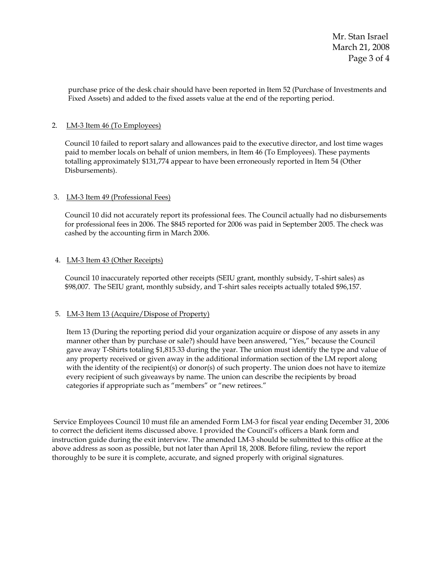Mr. Stan Israel March 21, 2008 Page 3 of 4

purchase price of the desk chair should have been reported in Item 52 (Purchase of Investments and Fixed Assets) and added to the fixed assets value at the end of the reporting period.

## 2. LM-3 Item 46 (To Employees)

Council 10 failed to report salary and allowances paid to the executive director, and lost time wages paid to member locals on behalf of union members, in Item 46 (To Employees). These payments totalling approximately \$131,774 appear to have been erroneously reported in Item 54 (Other Disbursements).

## 3. LM-3 Item 49 (Professional Fees)

Council 10 did not accurately report its professional fees. The Council actually had no disbursements for professional fees in 2006. The \$845 reported for 2006 was paid in September 2005. The check was cashed by the accounting firm in March 2006.

## 4. LM-3 Item 43 (Other Receipts)

Council 10 inaccurately reported other receipts (SEIU grant, monthly subsidy, T-shirt sales) as \$98,007. The SEIU grant, monthly subsidy, and T-shirt sales receipts actually totaled \$96,157.

## 5. LM-3 Item 13 (Acquire/Dispose of Property)

 Item 13 (During the reporting period did your organization acquire or dispose of any assets in any manner other than by purchase or sale?) should have been answered, "Yes," because the Council gave away T-Shirts totaling \$1,815.33 during the year. The union must identify the type and value of any property received or given away in the additional information section of the LM report along with the identity of the recipient(s) or donor(s) of such property. The union does not have to itemize every recipient of such giveaways by name. The union can describe the recipients by broad categories if appropriate such as "members" or "new retirees."

 Service Employees Council 10 must file an amended Form LM-3 for fiscal year ending December 31, 2006 to correct the deficient items discussed above. I provided the Council's officers a blank form and instruction guide during the exit interview. The amended LM-3 should be submitted to this office at the above address as soon as possible, but not later than April 18, 2008. Before filing, review the report thoroughly to be sure it is complete, accurate, and signed properly with original signatures.